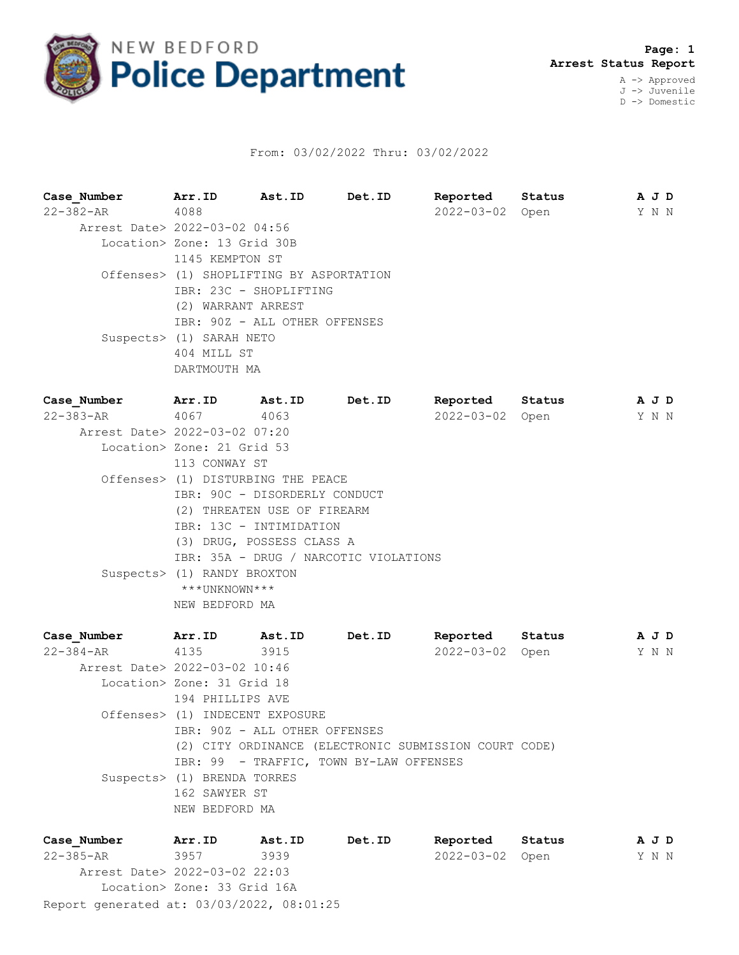

## From: 03/02/2022 Thru: 03/02/2022

**Case\_Number Arr.ID Ast.ID Det.ID Reported Status A J D** 22-382-AR 4088 2022-03-02 Open Y N N Arrest Date> 2022-03-02 04:56 Location> Zone: 13 Grid 30B 1145 KEMPTON ST Offenses> (1) SHOPLIFTING BY ASPORTATION IBR: 23C - SHOPLIFTING (2) WARRANT ARREST IBR: 90Z - ALL OTHER OFFENSES Suspects> (1) SARAH NETO 404 MILL ST DARTMOUTH MA **Case\_Number Arr.ID Ast.ID Det.ID Reported Status A J D** 22-383-AR 4067 4063 2022-03-02 Open Y N N Arrest Date> 2022-03-02 07:20 Location> Zone: 21 Grid 53 113 CONWAY ST Offenses> (1) DISTURBING THE PEACE IBR: 90C - DISORDERLY CONDUCT (2) THREATEN USE OF FIREARM IBR: 13C - INTIMIDATION (3) DRUG, POSSESS CLASS A IBR: 35A - DRUG / NARCOTIC VIOLATIONS Suspects> (1) RANDY BROXTON \*\*\*UNKNOWN\*\*\* NEW BEDFORD MA **Case\_Number Arr.ID Ast.ID Det.ID Reported Status A J D** 22-384-AR 4135 3915 2022-03-02 Open Y N N Arrest Date> 2022-03-02 10:46 Location> Zone: 31 Grid 18 194 PHILLIPS AVE Offenses> (1) INDECENT EXPOSURE IBR: 90Z - ALL OTHER OFFENSES (2) CITY ORDINANCE (ELECTRONIC SUBMISSION COURT CODE) IBR: 99 - TRAFFIC, TOWN BY-LAW OFFENSES

 Suspects> (1) BRENDA TORRES 162 SAWYER ST NEW BEDFORD MA

| Case Number                               | Arr.ID                      | Ast.ID | Det.ID | Reported        | Status | AJD |  |
|-------------------------------------------|-----------------------------|--------|--------|-----------------|--------|-----|--|
| $22 - 385 - AR$                           | 3957                        | 3939   |        | 2022-03-02 Open |        | YNN |  |
| Arrest Date> 2022-03-02 22:03             |                             |        |        |                 |        |     |  |
|                                           | Location> Zone: 33 Grid 16A |        |        |                 |        |     |  |
| Report generated at: 03/03/2022, 08:01:25 |                             |        |        |                 |        |     |  |